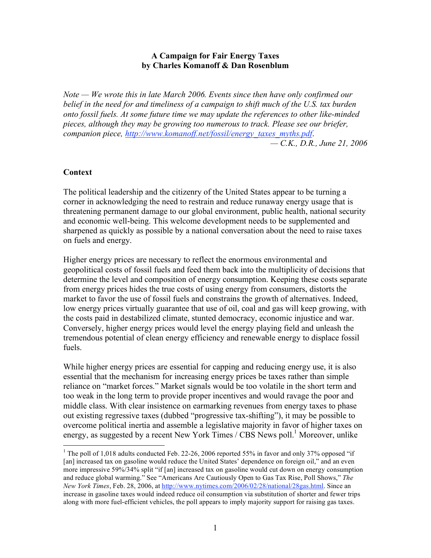## **A Campaign for Fair Energy Taxes by Charles Komanoff & Dan Rosenblum**

*Note — We wrote this in late March 2006. Events since then have only confirmed our belief in the need for and timeliness of a campaign to shift much of the U.S. tax burden onto fossil fuels. At some future time we may update the references to other like-minded pieces, although they may be growing too numerous to track. Please see our briefer, companion piece, http://www.komanoff.net/fossil/energy\_taxes\_myths.pdf*.

*— C.K., D.R., June 21, 2006*

### **Context**

The political leadership and the citizenry of the United States appear to be turning a corner in acknowledging the need to restrain and reduce runaway energy usage that is threatening permanent damage to our global environment, public health, national security and economic well-being. This welcome development needs to be supplemented and sharpened as quickly as possible by a national conversation about the need to raise taxes on fuels and energy.

Higher energy prices are necessary to reflect the enormous environmental and geopolitical costs of fossil fuels and feed them back into the multiplicity of decisions that determine the level and composition of energy consumption. Keeping these costs separate from energy prices hides the true costs of using energy from consumers, distorts the market to favor the use of fossil fuels and constrains the growth of alternatives. Indeed, low energy prices virtually guarantee that use of oil, coal and gas will keep growing, with the costs paid in destabilized climate, stunted democracy, economic injustice and war. Conversely, higher energy prices would level the energy playing field and unleash the tremendous potential of clean energy efficiency and renewable energy to displace fossil fuels.

While higher energy prices are essential for capping and reducing energy use, it is also essential that the mechanism for increasing energy prices be taxes rather than simple reliance on "market forces." Market signals would be too volatile in the short term and too weak in the long term to provide proper incentives and would ravage the poor and middle class. With clear insistence on earmarking revenues from energy taxes to phase out existing regressive taxes (dubbed "progressive tax-shifting"), it may be possible to overcome political inertia and assemble a legislative majority in favor of higher taxes on energy, as suggested by a recent New York Times / CBS News poll.<sup>1</sup> Moreover, unlike

<sup>&</sup>lt;sup>1</sup> The poll of 1,018 adults conducted Feb. 22-26, 2006 reported 55% in favor and only 37% opposed "if" [an] increased tax on gasoline would reduce the United States' dependence on foreign oil," and an even more impressive 59%/34% split "if [an] increased tax on gasoline would cut down on energy consumption and reduce global warming." See "Americans Are Cautiously Open to Gas Tax Rise, Poll Shows," *The New York Times*, Feb. 28, 2006, at http://www.nytimes.com/2006/02/28/national/28gas.html. Since an increase in gasoline taxes would indeed reduce oil consumption via substitution of shorter and fewer trips along with more fuel-efficient vehicles, the poll appears to imply majority support for raising gas taxes.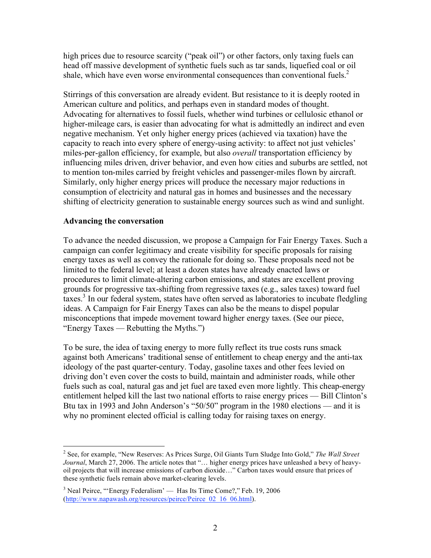high prices due to resource scarcity ("peak oil") or other factors, only taxing fuels can head off massive development of synthetic fuels such as tar sands, liquefied coal or oil shale, which have even worse environmental consequences than conventional fuels.<sup>2</sup>

Stirrings of this conversation are already evident. But resistance to it is deeply rooted in American culture and politics, and perhaps even in standard modes of thought. Advocating for alternatives to fossil fuels, whether wind turbines or cellulosic ethanol or higher-mileage cars, is easier than advocating for what is admittedly an indirect and even negative mechanism. Yet only higher energy prices (achieved via taxation) have the capacity to reach into every sphere of energy-using activity: to affect not just vehicles' miles-per-gallon efficiency, for example, but also *overall* transportation efficiency by influencing miles driven, driver behavior, and even how cities and suburbs are settled, not to mention ton-miles carried by freight vehicles and passenger-miles flown by aircraft. Similarly, only higher energy prices will produce the necessary major reductions in consumption of electricity and natural gas in homes and businesses and the necessary shifting of electricity generation to sustainable energy sources such as wind and sunlight.

## **Advancing the conversation**

To advance the needed discussion, we propose a Campaign for Fair Energy Taxes. Such a campaign can confer legitimacy and create visibility for specific proposals for raising energy taxes as well as convey the rationale for doing so. These proposals need not be limited to the federal level; at least a dozen states have already enacted laws or procedures to limit climate-altering carbon emissions, and states are excellent proving grounds for progressive tax-shifting from regressive taxes (e.g., sales taxes) toward fuel taxes. <sup>3</sup> In our federal system, states have often served as laboratories to incubate fledgling ideas. A Campaign for Fair Energy Taxes can also be the means to dispel popular misconceptions that impede movement toward higher energy taxes. (See our piece, "Energy Taxes — Rebutting the Myths.")

To be sure, the idea of taxing energy to more fully reflect its true costs runs smack against both Americans' traditional sense of entitlement to cheap energy and the anti-tax ideology of the past quarter-century. Today, gasoline taxes and other fees levied on driving don't even cover the costs to build, maintain and administer roads, while other fuels such as coal, natural gas and jet fuel are taxed even more lightly. This cheap-energy entitlement helped kill the last two national efforts to raise energy prices — Bill Clinton's Btu tax in 1993 and John Anderson's "50/50" program in the 1980 elections — and it is why no prominent elected official is calling today for raising taxes on energy.

 <sup>2</sup> See, for example, "New Reserves: As Prices Surge, Oil Giants Turn Sludge Into Gold," *The Wall Street Journal*, March 27, 2006. The article notes that "… higher energy prices have unleashed a bevy of heavyoil projects that will increase emissions of carbon dioxide…" Carbon taxes would ensure that prices of these synthetic fuels remain above market-clearing levels.

 $3$  Neal Peirce, "'Energy Federalism' — Has Its Time Come?," Feb. 19, 2006 (http://www.napawash.org/resources/peirce/Peirce\_02\_16\_06.html).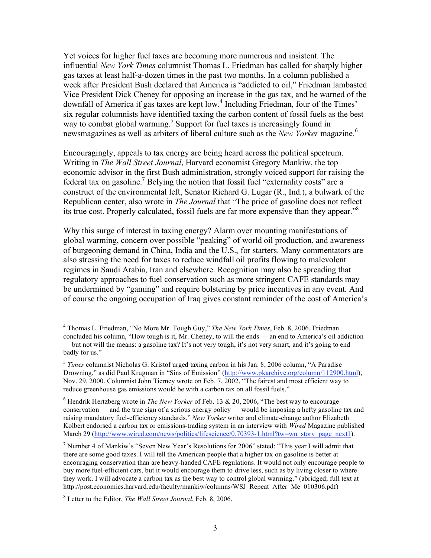Yet voices for higher fuel taxes are becoming more numerous and insistent. The influential *New York Times* columnist Thomas L. Friedman has called for sharply higher gas taxes at least half-a-dozen times in the past two months. In a column published a week after President Bush declared that America is "addicted to oil," Friedman lambasted Vice President Dick Cheney for opposing an increase in the gas tax, and he warned of the downfall of America if gas taxes are kept low. <sup>4</sup> Including Friedman, four of the Times' six regular columnists have identified taxing the carbon content of fossil fuels as the best way to combat global warming.<sup>5</sup> Support for fuel taxes is increasingly found in newsmagazines as well as arbiters of liberal culture such as the *New Yorker* magazine. 6

Encouragingly, appeals to tax energy are being heard across the political spectrum. Writing in *The Wall Street Journal*, Harvard economist Gregory Mankiw, the top economic advisor in the first Bush administration, strongly voiced support for raising the federal tax on gasoline.<sup>7</sup> Belying the notion that fossil fuel "externality costs" are a construct of the environmental left, Senator Richard G. Lugar (R., Ind.), a bulwark of the Republican center, also wrote in *The Journal* that "The price of gasoline does not reflect its true cost. Properly calculated, fossil fuels are far more expensive than they appear."<sup>8</sup>

Why this surge of interest in taxing energy? Alarm over mounting manifestations of global warming, concern over possible "peaking" of world oil production, and awareness of burgeoning demand in China, India and the U.S., for starters. Many commentators are also stressing the need for taxes to reduce windfall oil profits flowing to malevolent regimes in Saudi Arabia, Iran and elsewhere. Recognition may also be spreading that regulatory approaches to fuel conservation such as more stringent CAFE standards may be undermined by "gaming" and require bolstering by price incentives in any event. And of course the ongoing occupation of Iraq gives constant reminder of the cost of America's

 <sup>4</sup> Thomas L. Friedman, "No More Mr. Tough Guy," *The New York Times*, Feb. 8, 2006. Friedman concluded his column, "How tough is it, Mr. Cheney, to will the ends — an end to America's oil addiction — but not will the means: a gasoline tax? It's not very tough, it's not very smart, and it's going to end badly for us."

<sup>5</sup> *Times* columnist Nicholas G. Kristof urged taxing carbon in his Jan. 8, 2006 column, "A Paradise Drowning," as did Paul Krugman in "Sins of Emission" (http://www.pkarchive.org/column/112900.html), Nov. 29, 2000. Columnist John Tierney wrote on Feb. 7, 2002, "The fairest and most efficient way to reduce greenhouse gas emissions would be with a carbon tax on all fossil fuels."

<sup>6</sup> Hendrik Hertzberg wrote in *The New Yorker* of Feb. 13 & 20, 2006, "The best way to encourage conservation — and the true sign of a serious energy policy — would be imposing a hefty gasoline tax and raising mandatory fuel-efficiency standards." *New Yorker* writer and climate-change author Elizabeth Kolbert endorsed a carbon tax or emissions-trading system in an interview with *Wired* Magazine published March 29 (http://www.wired.com/news/politics/lifescience/0,70393-1.html?tw=wn\_story\_page\_next1).

<sup>7</sup> Number 4 of Mankiw's "Seven New Year's Resolutions for 2006" stated: "This year I will admit that there are some good taxes. I will tell the American people that a higher tax on gasoline is better at encouraging conservation than are heavy-handed CAFE regulations. It would not only encourage people to buy more fuel-efficient cars, but it would encourage them to drive less, such as by living closer to where they work. I will advocate a carbon tax as the best way to control global warming." (abridged; full text at http://post.economics.harvard.edu/faculty/mankiw/columns/WSJ\_Repeat\_After\_Me\_010306.pdf)

<sup>8</sup> Letter to the Editor, *The Wall Street Journal*, Feb. 8, 2006.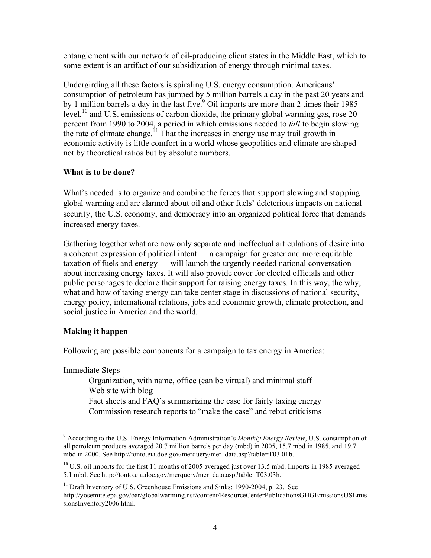entanglement with our network of oil-producing client states in the Middle East, which to some extent is an artifact of our subsidization of energy through minimal taxes.

Undergirding all these factors is spiraling U.S. energy consumption. Americans' consumption of petroleum has jumped by 5 million barrels a day in the past 20 years and by 1 million barrels a day in the last five.<sup>9</sup> Oil imports are more than 2 times their 1985 level,<sup>10</sup> and U.S. emissions of carbon dioxide, the primary global warming gas, rose 20 percent from 1990 to 2004, a period in which emissions needed to *fall* to begin slowing the rate of climate change.<sup>11</sup> That the increases in energy use may trail growth in economic activity is little comfort in a world whose geopolitics and climate are shaped not by theoretical ratios but by absolute numbers.

# **What is to be done?**

What's needed is to organize and combine the forces that support slowing and stopping global warming and are alarmed about oil and other fuels' deleterious impacts on national security, the U.S. economy, and democracy into an organized political force that demands increased energy taxes.

Gathering together what are now only separate and ineffectual articulations of desire into a coherent expression of political intent — a campaign for greater and more equitable taxation of fuels and energy — will launch the urgently needed national conversation about increasing energy taxes. It will also provide cover for elected officials and other public personages to declare their support for raising energy taxes. In this way, the why, what and how of taxing energy can take center stage in discussions of national security, energy policy, international relations, jobs and economic growth, climate protection, and social justice in America and the world.

# **Making it happen**

Following are possible components for a campaign to tax energy in America:

Immediate Steps

 Organization, with name, office (can be virtual) and minimal staff Web site with blog Fact sheets and FAQ's summarizing the case for fairly taxing energy Commission research reports to "make the case" and rebut criticisms

 <sup>9</sup> According to the U.S. Energy Information Administration's *Monthly Energy Review*, U.S. consumption of all petroleum products averaged 20.7 million barrels per day (mbd) in 2005, 15.7 mbd in 1985, and 19.7 mbd in 2000. See http://tonto.eia.doe.gov/merquery/mer\_data.asp?table=T03.01b.

 $10$  U.S. oil imports for the first 11 months of 2005 averaged just over 13.5 mbd. Imports in 1985 averaged 5.1 mbd. See http://tonto.eia.doe.gov/merquery/mer\_data.asp?table=T03.03h.

 $11$  Draft Inventory of U.S. Greenhouse Emissions and Sinks: 1990-2004, p. 23. See http://yosemite.epa.gov/oar/globalwarming.nsf/content/ResourceCenterPublicationsGHGEmissionsUSEmis sionsInventory2006.html.